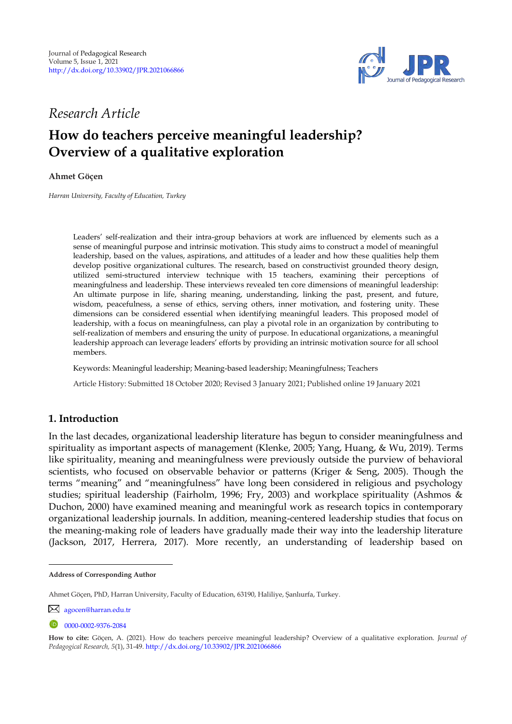

# *Research Article*

# **How do teachers perceive meaningful leadership? Overview of a qualitative exploration**

**Ahmet Göçen <sup>1</sup>**

*Harran University, Faculty of Education, Turkey* 

Leaders" self-realization and their intra-group behaviors at work are influenced by elements such as a sense of meaningful purpose and intrinsic motivation. This study aims to construct a model of meaningful leadership, based on the values, aspirations, and attitudes of a leader and how these qualities help them develop positive organizational cultures. The research, based on constructivist grounded theory design, utilized semi-structured interview technique with 15 teachers, examining their perceptions of meaningfulness and leadership. These interviews revealed ten core dimensions of meaningful leadership: An ultimate purpose in life, sharing meaning, understanding, linking the past, present, and future, wisdom, peacefulness, a sense of ethics, serving others, inner motivation, and fostering unity. These dimensions can be considered essential when identifying meaningful leaders. This proposed model of leadership, with a focus on meaningfulness, can play a pivotal role in an organization by contributing to self-realization of members and ensuring the unity of purpose. In educational organizations, a meaningful leadership approach can leverage leaders" efforts by providing an intrinsic motivation source for all school members.

Keywords: Meaningful leadership; Meaning-based leadership; Meaningfulness; Teachers

Article History: Submitted 18 October 2020; Revised 3 January 2021; Published online 19 January 2021

# **1. Introduction**

In the last decades, organizational leadership literature has begun to consider meaningfulness and spirituality as important aspects of management (Klenke, 2005; Yang, Huang, & Wu, 2019). Terms like spirituality, meaning and meaningfulness were previously outside the purview of behavioral scientists, who focused on observable behavior or patterns (Kriger & Seng, 2005). Though the terms "meaning" and "meaningfulness" have long been considered in religious and psychology studies; spiritual leadership (Fairholm, 1996; Fry, 2003) and workplace spirituality (Ashmos & Duchon, 2000) have examined meaning and meaningful work as research topics in contemporary organizational leadership journals. In addition, meaning-centered leadership studies that focus on the meaning-making role of leaders have gradually made their way into the leadership literature (Jackson, 2017, Herrera, 2017). More recently, an understanding of leadership based on

**Address of Corresponding Author**

Ahmet Göçen, PhD, Harran University, Faculty of Education, 63190, Haliliye, Şanlıurfa, Turkey.

[agocen@harran.edu.tr](mailto:agocen@harran.edu.tr)

<sup>0000-0002-9376-2084</sup> 

**How to cite:** Göçen, A. (2021). How do teachers perceive meaningful leadership? Overview of a qualitative exploration. *Journal of Pedagogical Research, 5*(1), 31-49. <http://dx.doi.org/10.33902/JPR.2021066866>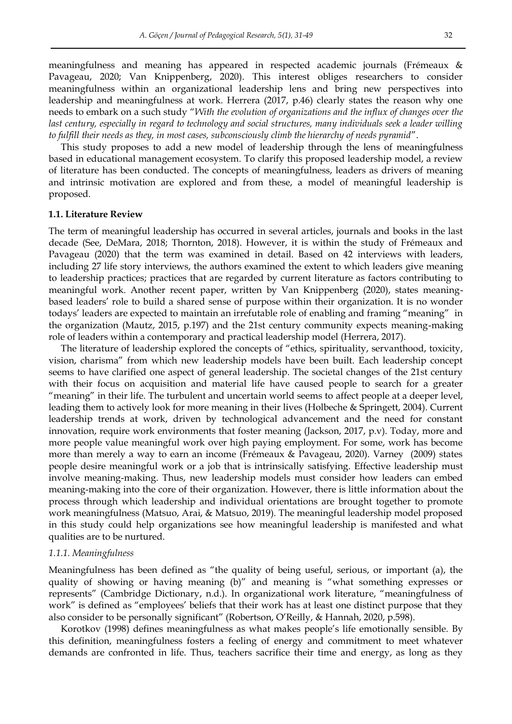meaningfulness and meaning has appeared in respected academic journals (Frémeaux & Pavageau, 2020; Van Knippenberg, 2020). This interest obliges researchers to consider meaningfulness within an organizational leadership lens and bring new perspectives into leadership and meaningfulness at work. Herrera (2017, p.46) clearly states the reason why one needs to embark on a such study "*With the evolution of organizations and the influx of changes over the last century, especially in regard to technology and social structures, many individuals seek a leader willing to fulfill their needs as they, in most cases, subconsciously climb the hierarchy of needs pyramid*".

This study proposes to add a new model of leadership through the lens of meaningfulness based in educational management ecosystem. To clarify this proposed leadership model, a review of literature has been conducted. The concepts of meaningfulness, leaders as drivers of meaning and intrinsic motivation are explored and from these, a model of meaningful leadership is proposed.

#### **1.1. Literature Review**

The term of meaningful leadership has occurred in several articles, journals and books in the last decade (See, DeMara, 2018; Thornton, 2018). However, it is within the study of Frémeaux and Pavageau (2020) that the term was examined in detail. Based on 42 interviews with leaders, including 27 life story interviews, the authors examined the extent to which leaders give meaning to leadership practices; practices that are regarded by current literature as factors contributing to meaningful work. Another recent paper, written by Van Knippenberg (2020), states meaningbased leaders" role to build a shared sense of purpose within their organization. It is no wonder todays" leaders are expected to maintain an irrefutable role of enabling and framing "meaning" in the organization (Mautz, 2015, p.197) and the 21st century community expects meaning-making role of leaders within a contemporary and practical leadership model (Herrera, 2017).

The literature of leadership explored the concepts of "ethics, spirituality, servanthood, toxicity, vision, charisma" from which new leadership models have been built. Each leadership concept seems to have clarified one aspect of general leadership. The societal changes of the 21st century with their focus on acquisition and material life have caused people to search for a greater "meaning" in their life. The turbulent and uncertain world seems to affect people at a deeper level, leading them to actively look for more meaning in their lives (Holbeche & Springett, 2004). Current leadership trends at work, driven by technological advancement and the need for constant innovation, require work environments that foster meaning (Jackson, 2017, p.v). Today, more and more people value meaningful work over high paying employment. For some, work has become more than merely a way to earn an income (Frémeaux & Pavageau, 2020). Varney (2009) states people desire meaningful work or a job that is intrinsically satisfying. Effective leadership must involve meaning-making. Thus, new leadership models must consider how leaders can embed meaning-making into the core of their organization. However, there is little information about the process through which leadership and individual orientations are brought together to promote work meaningfulness (Matsuo, Arai, & Matsuo, 2019). The meaningful leadership model proposed in this study could help organizations see how meaningful leadership is manifested and what qualities are to be nurtured.

#### *1.1.1. Meaningfulness*

Meaningfulness has been defined as "the quality of being useful, serious, or important (a), the quality of showing or having meaning (b)" and meaning is "what something expresses or represents" (Cambridge Dictionary, n.d.). In organizational work literature, "meaningfulness of work" is defined as "employees" beliefs that their work has at least one distinct purpose that they also consider to be personally significant" (Robertson, O"Reilly, & Hannah, 2020, p.598).

Korotkov (1998) defines meaningfulness as what makes people's life emotionally sensible. By this definition, meaningfulness fosters a feeling of energy and commitment to meet whatever demands are confronted in life. Thus, teachers sacrifice their time and energy, as long as they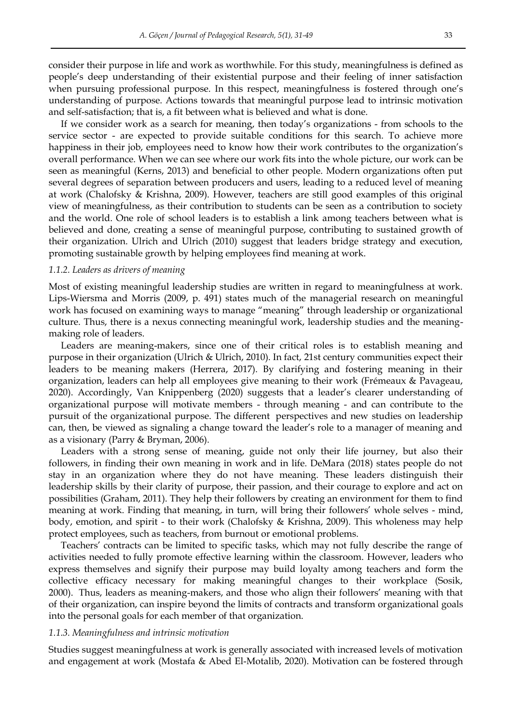consider their purpose in life and work as worthwhile. For this study, meaningfulness is defined as people"s deep understanding of their existential purpose and their feeling of inner satisfaction when pursuing professional purpose. In this respect, meaningfulness is fostered through one's understanding of purpose. Actions towards that meaningful purpose lead to intrinsic motivation and self-satisfaction; that is, a fit between what is believed and what is done.

If we consider work as a search for meaning, then today"s organizations - from schools to the service sector - are expected to provide suitable conditions for this search. To achieve more happiness in their job, employees need to know how their work contributes to the organization's overall performance. When we can see where our work fits into the whole picture, our work can be seen as meaningful (Kerns, 2013) and beneficial to other people. Modern organizations often put several degrees of separation between producers and users, leading to a reduced level of meaning at work (Chalofsky & Krishna, 2009). However, teachers are still good examples of this original view of meaningfulness, as their contribution to students can be seen as a contribution to society and the world. One role of school leaders is to establish a link among teachers between what is believed and done, creating a sense of meaningful purpose, contributing to sustained growth of their organization. Ulrich and Ulrich (2010) suggest that leaders bridge strategy and execution, promoting sustainable growth by helping employees find meaning at work.

#### *1.1.2. Leaders as drivers of meaning*

Most of existing meaningful leadership studies are written in regard to meaningfulness at work. Lips-Wiersma and Morris (2009, p. 491) states much of the managerial research on meaningful work has focused on examining ways to manage "meaning" through leadership or organizational culture. Thus, there is a nexus connecting meaningful work, leadership studies and the meaningmaking role of leaders.

Leaders are meaning-makers, since one of their critical roles is to establish meaning and purpose in their organization (Ulrich & Ulrich, 2010). In fact, 21st century communities expect their leaders to be meaning makers (Herrera, 2017). By clarifying and fostering meaning in their organization, leaders can help all employees give meaning to their work (Frémeaux & Pavageau, 2020). Accordingly, Van Knippenberg (2020) suggests that a leader"s clearer understanding of organizational purpose will motivate members - through meaning - and can contribute to the pursuit of the organizational purpose. The different perspectives and new studies on leadership can, then, be viewed as signaling a change toward the leader"s role to a manager of meaning and as a visionary (Parry & Bryman, 2006).

Leaders with a strong sense of meaning, guide not only their life journey, but also their followers, in finding their own meaning in work and in life. DeMara (2018) states people do not stay in an organization where they do not have meaning. These leaders distinguish their leadership skills by their clarity of purpose, their passion, and their courage to explore and act on possibilities (Graham, 2011). They help their followers by creating an environment for them to find meaning at work. Finding that meaning, in turn, will bring their followers" whole selves - mind, body, emotion, and spirit - to their work (Chalofsky & Krishna, 2009). This wholeness may help protect employees, such as teachers, from burnout or emotional problems.

Teachers" contracts can be limited to specific tasks, which may not fully describe the range of activities needed to fully promote effective learning within the classroom. However, leaders who express themselves and signify their purpose may build loyalty among teachers and form the collective efficacy necessary for making meaningful changes to their workplace (Sosik, 2000). Thus, leaders as meaning-makers, and those who align their followers" meaning with that of their organization, can inspire beyond the limits of contracts and transform organizational goals into the personal goals for each member of that organization.

#### *1.1.3. Meaningfulness and intrinsic motivation*

Studies suggest meaningfulness at work is generally associated with increased levels of motivation and engagement at work (Mostafa & Abed El-Motalib, 2020). Motivation can be fostered through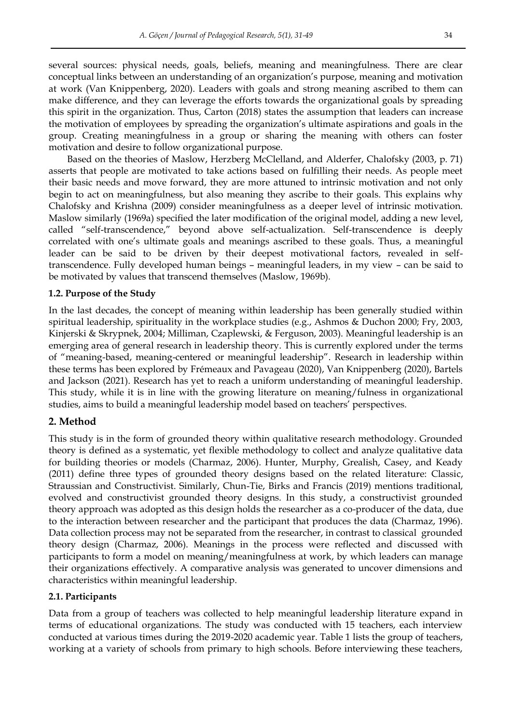several sources: physical needs, goals, beliefs, meaning and meaningfulness. There are clear conceptual links between an understanding of an organization"s purpose, meaning and motivation at work (Van Knippenberg, 2020). Leaders with goals and strong meaning ascribed to them can make difference, and they can leverage the efforts towards the organizational goals by spreading this spirit in the organization. Thus, Carton (2018) states the assumption that leaders can increase the motivation of employees by spreading the organization"s ultimate aspirations and goals in the group. Creating meaningfulness in a group or sharing the meaning with others can foster motivation and desire to follow organizational purpose.

Based on the theories of Maslow, Herzberg McClelland, and Alderfer, Chalofsky (2003, p. 71) asserts that people are motivated to take actions based on fulfilling their needs. As people meet their basic needs and move forward, they are more attuned to intrinsic motivation and not only begin to act on meaningfulness, but also meaning they ascribe to their goals. This explains why Chalofsky and Krishna (2009) consider meaningfulness as a deeper level of intrinsic motivation. Maslow similarly (1969a) specified the later modification of the original model, adding a new level, called "self-transcendence," beyond above self-actualization. Self-transcendence is deeply correlated with one"s ultimate goals and meanings ascribed to these goals. Thus, a meaningful leader can be said to be driven by their deepest motivational factors, revealed in selftranscendence. Fully developed human beings – meaningful leaders, in my view – can be said to be motivated by values that transcend themselves (Maslow, 1969b).

## **1.2. Purpose of the Study**

In the last decades, the concept of meaning within leadership has been generally studied within spiritual leadership, spirituality in the workplace studies (e.g., Ashmos & Duchon 2000; Fry, 2003, Kinjerski & Skrypnek, 2004; Milliman, Czaplewski, & Ferguson, 2003). Meaningful leadership is an emerging area of general research in leadership theory. This is currently explored under the terms of "meaning-based, meaning-centered or meaningful leadership". Research in leadership within these terms has been explored by Frémeaux and Pavageau (2020), Van Knippenberg (2020), Bartels and Jackson (2021). Research has yet to reach a uniform understanding of meaningful leadership. This study, while it is in line with the growing literature on meaning/fulness in organizational studies, aims to build a meaningful leadership model based on teachers" perspectives.

## **2. Method**

This study is in the form of grounded theory within qualitative research methodology. Grounded theory is defined as a systematic, yet flexible methodology to collect and analyze qualitative data for building theories or models (Charmaz, 2006). Hunter, Murphy, Grealish, Casey, and Keady (2011) define three types of grounded theory designs based on the related literature: Classic, Straussian and Constructivist. Similarly, Chun-Tie, Birks and Francis (2019) mentions traditional, evolved and constructivist grounded theory designs. In this study, a constructivist grounded theory approach was adopted as this design holds the researcher as a co-producer of the data, due to the interaction between researcher and the participant that produces the data (Charmaz, 1996). Data collection process may not be separated from the researcher, in contrast to classical grounded theory design (Charmaz, 2006). Meanings in the process were reflected and discussed with participants to form a model on meaning/meaningfulness at work, by which leaders can manage their organizations effectively. A comparative analysis was generated to uncover dimensions and characteristics within meaningful leadership.

## **2.1. Participants**

Data from a group of teachers was collected to help meaningful leadership literature expand in terms of educational organizations. The study was conducted with 15 teachers, each interview conducted at various times during the 2019-2020 academic year. Table 1 lists the group of teachers, working at a variety of schools from primary to high schools. Before interviewing these teachers,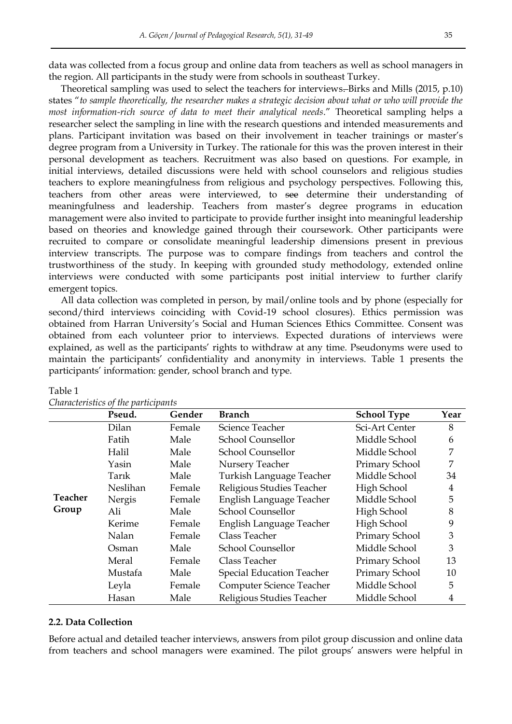data was collected from a focus group and online data from teachers as well as school managers in the region. All participants in the study were from schools in southeast Turkey.

Theoretical sampling was used to select the teachers for interviews. Birks and Mills (2015, p.10) states "*to sample theoretically, the researcher makes a strategic decision about what or who will provide the most information-rich source of data to meet their analytical needs*." Theoretical sampling helps a researcher select the sampling in line with the research questions and intended measurements and plans. Participant invitation was based on their involvement in teacher trainings or master"s degree program from a University in Turkey. The rationale for this was the proven interest in their personal development as teachers. Recruitment was also based on questions. For example, in initial interviews, detailed discussions were held with school counselors and religious studies teachers to explore meaningfulness from religious and psychology perspectives. Following this, teachers from other areas were interviewed, to see determine their understanding of meaningfulness and leadership. Teachers from master"s degree programs in education management were also invited to participate to provide further insight into meaningful leadership based on theories and knowledge gained through their coursework. Other participants were recruited to compare or consolidate meaningful leadership dimensions present in previous interview transcripts. The purpose was to compare findings from teachers and control the trustworthiness of the study. In keeping with grounded study methodology, extended online interviews were conducted with some participants post initial interview to further clarify emergent topics.

All data collection was completed in person, by mail/online tools and by phone (especially for second/third interviews coinciding with Covid-19 school closures). Ethics permission was obtained from Harran University"s Social and Human Sciences Ethics Committee. Consent was obtained from each volunteer prior to interviews. Expected durations of interviews were explained, as well as the participants' rights to withdraw at any time. Pseudonyms were used to maintain the participants" confidentiality and anonymity in interviews. Table 1 presents the participants' information: gender, school branch and type.

|                  | Pseud.   | Gender | <b>Branch</b>                    | <b>School Type</b> | Year           |
|------------------|----------|--------|----------------------------------|--------------------|----------------|
| Teacher<br>Group | Dilan    | Female | Science Teacher                  | Sci-Art Center     | 8              |
|                  | Fatih    | Male   | School Counsellor                | Middle School      | 6              |
|                  | Halil    | Male   | School Counsellor                | Middle School      | 7              |
|                  | Yasin    | Male   | Nursery Teacher                  | Primary School     | 7              |
|                  | Tarık    | Male   | Turkish Language Teacher         | Middle School      | 34             |
|                  | Neslihan | Female | Religious Studies Teacher        | High School        | $\overline{4}$ |
|                  | Nergis   | Female | English Language Teacher         | Middle School      | 5              |
|                  | Ali      | Male   | School Counsellor                | High School        | 8              |
|                  | Kerime   | Female | English Language Teacher         | High School        | 9              |
|                  | Nalan    | Female | Class Teacher                    | Primary School     | 3              |
|                  | Osman    | Male   | School Counsellor                | Middle School      | 3              |
|                  | Meral    | Female | Class Teacher                    | Primary School     | 13             |
|                  | Mustafa  | Male   | <b>Special Education Teacher</b> | Primary School     | 10             |
|                  | Leyla    | Female | Computer Science Teacher         | Middle School      | 5              |
|                  | Hasan    | Male   | Religious Studies Teacher        | Middle School      | 4              |

#### Table 1

# *Characteristics of the participants*

## **2.2. Data Collection**

Before actual and detailed teacher interviews, answers from pilot group discussion and online data from teachers and school managers were examined. The pilot groups" answers were helpful in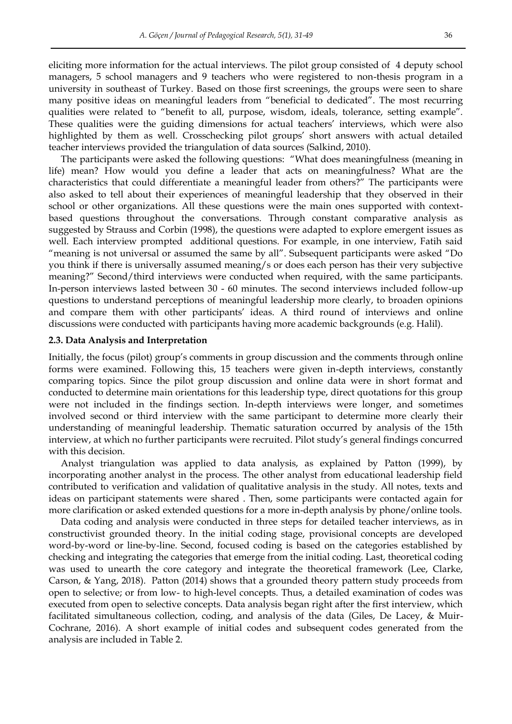eliciting more information for the actual interviews. The pilot group consisted of 4 deputy school managers, 5 school managers and 9 teachers who were registered to non-thesis program in a university in southeast of Turkey. Based on those first screenings, the groups were seen to share many positive ideas on meaningful leaders from "beneficial to dedicated". The most recurring qualities were related to "benefit to all, purpose, wisdom, ideals, tolerance, setting example". These qualities were the guiding dimensions for actual teachers' interviews, which were also highlighted by them as well. Crosschecking pilot groups' short answers with actual detailed teacher interviews provided the triangulation of data sources (Salkind, 2010).

The participants were asked the following questions: "What does meaningfulness (meaning in life) mean? How would you define a leader that acts on meaningfulness? What are the characteristics that could differentiate a meaningful leader from others?" The participants were also asked to tell about their experiences of meaningful leadership that they observed in their school or other organizations. All these questions were the main ones supported with contextbased questions throughout the conversations. Through constant comparative analysis as suggested by Strauss and Corbin (1998), the questions were adapted to explore emergent issues as well. Each interview prompted additional questions. For example, in one interview, Fatih said "meaning is not universal or assumed the same by all". Subsequent participants were asked "Do you think if there is universally assumed meaning/s or does each person has their very subjective meaning?" Second/third interviews were conducted when required, with the same participants. In-person interviews lasted between 30 - 60 minutes. The second interviews included follow-up questions to understand perceptions of meaningful leadership more clearly, to broaden opinions and compare them with other participants' ideas. A third round of interviews and online discussions were conducted with participants having more academic backgrounds (e.g. Halil).

#### **2.3. Data Analysis and Interpretation**

Initially, the focus (pilot) group"s comments in group discussion and the comments through online forms were examined. Following this, 15 teachers were given in-depth interviews, constantly comparing topics. Since the pilot group discussion and online data were in short format and conducted to determine main orientations for this leadership type, direct quotations for this group were not included in the findings section. In-depth interviews were longer, and sometimes involved second or third interview with the same participant to determine more clearly their understanding of meaningful leadership. Thematic saturation occurred by analysis of the 15th interview, at which no further participants were recruited. Pilot study"s general findings concurred with this decision.

Analyst triangulation was applied to data analysis, as explained by Patton (1999), by incorporating another analyst in the process. The other analyst from educational leadership field contributed to verification and validation of qualitative analysis in the study. All notes, texts and ideas on participant statements were shared . Then, some participants were contacted again for more clarification or asked extended questions for a more in-depth analysis by phone/online tools.

Data coding and analysis were conducted in three steps for detailed teacher interviews, as in constructivist grounded theory. In the initial coding stage, provisional concepts are developed word-by-word or line-by-line. Second, focused coding is based on the categories established by checking and integrating the categories that emerge from the initial coding. Last, theoretical coding was used to unearth the core category and integrate the theoretical framework (Lee, Clarke, Carson, & Yang, 2018). Patton (2014) shows that a grounded theory pattern study proceeds from open to selective; or from low- to high-level concepts. Thus, a detailed examination of codes was executed from open to selective concepts. Data analysis began right after the first interview, which facilitated simultaneous collection, coding, and analysis of the data (Giles, De Lacey, & Muir-Cochrane, 2016). A short example of initial codes and subsequent codes generated from the analysis are included in Table 2.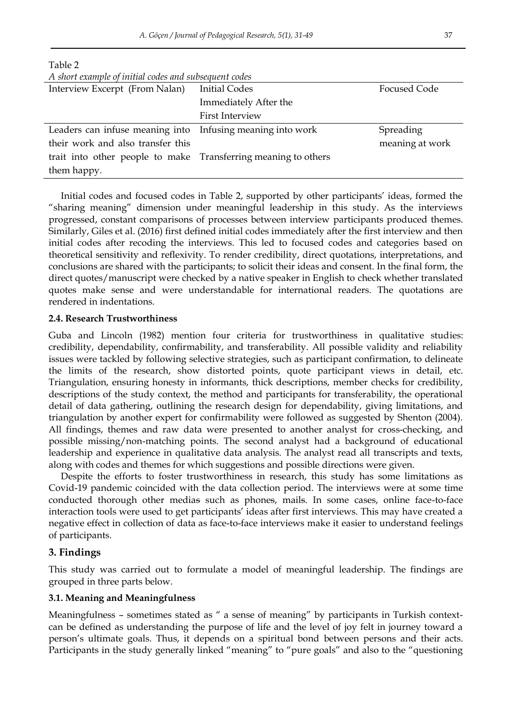| A short example of initial codes and subsequent codes          |                        |                 |  |  |  |
|----------------------------------------------------------------|------------------------|-----------------|--|--|--|
| Interview Excerpt (From Nalan)                                 | <b>Initial Codes</b>   | Focused Code    |  |  |  |
|                                                                | Immediately After the  |                 |  |  |  |
|                                                                | <b>First Interview</b> |                 |  |  |  |
| Leaders can infuse meaning into Infusing meaning into work     |                        | Spreading       |  |  |  |
| their work and also transfer this                              |                        | meaning at work |  |  |  |
| trait into other people to make Transferring meaning to others |                        |                 |  |  |  |
| them happy.                                                    |                        |                 |  |  |  |

Initial codes and focused codes in Table 2, supported by other participants" ideas, formed the "sharing meaning" dimension under meaningful leadership in this study. As the interviews progressed, constant comparisons of processes between interview participants produced themes. Similarly, Giles et al. (2016) first defined initial codes immediately after the first interview and then initial codes after recoding the interviews. This led to focused codes and categories based on theoretical sensitivity and reflexivity. To render credibility, direct quotations, interpretations, and conclusions are shared with the participants; to solicit their ideas and consent. In the final form, the direct quotes/manuscript were checked by a native speaker in English to check whether translated quotes make sense and were understandable for international readers. The quotations are rendered in indentations.

## **2.4. Research Trustworthiness**

Table 2

Guba and Lincoln (1982) mention four criteria for trustworthiness in qualitative studies: credibility, dependability, confirmability, and transferability. All possible validity and reliability issues were tackled by following selective strategies, such as participant confirmation, to delineate the limits of the research, show distorted points, quote participant views in detail, etc. Triangulation, ensuring honesty in informants, thick descriptions, member checks for credibility, descriptions of the study context, the method and participants for transferability, the operational detail of data gathering, outlining the research design for dependability, giving limitations, and triangulation by another expert for confirmability were followed as suggested by Shenton (2004). All findings, themes and raw data were presented to another analyst for cross-checking, and possible missing/non-matching points. The second analyst had a background of educational leadership and experience in qualitative data analysis. The analyst read all transcripts and texts, along with codes and themes for which suggestions and possible directions were given.

Despite the efforts to foster trustworthiness in research, this study has some limitations as Covid-19 pandemic coincided with the data collection period. The interviews were at some time conducted thorough other medias such as phones, mails. In some cases, online face-to-face interaction tools were used to get participants' ideas after first interviews. This may have created a negative effect in collection of data as face-to-face interviews make it easier to understand feelings of participants.

## **3. Findings**

This study was carried out to formulate a model of meaningful leadership. The findings are grouped in three parts below.

## **3.1. Meaning and Meaningfulness**

Meaningfulness - sometimes stated as " a sense of meaning" by participants in Turkish contextcan be defined as understanding the purpose of life and the level of joy felt in journey toward a person"s ultimate goals. Thus, it depends on a spiritual bond between persons and their acts. Participants in the study generally linked "meaning" to "pure goals" and also to the "questioning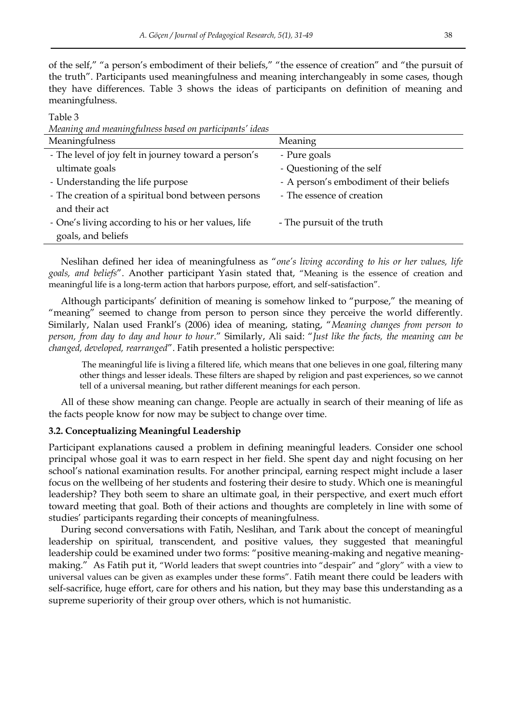of the self," "a person's embodiment of their beliefs," "the essence of creation" and "the pursuit of the truth". Participants used meaningfulness and meaning interchangeably in some cases, though they have differences. Table 3 shows the ideas of participants on definition of meaning and meaningfulness.

Table 3

*Meaning and meaningfulness based on participants' ideas*

| Meaningfulness                                       | Meaning                                  |
|------------------------------------------------------|------------------------------------------|
| - The level of joy felt in journey toward a person's | - Pure goals                             |
| ultimate goals                                       | - Questioning of the self                |
| - Understanding the life purpose                     | - A person's embodiment of their beliefs |
| - The creation of a spiritual bond between persons   | - The essence of creation                |
| and their act                                        |                                          |
| - One's living according to his or her values, life  | - The pursuit of the truth               |
| goals, and beliefs                                   |                                          |

Neslihan defined her idea of meaningfulness as "*one's living according to his or her values, life goals, and beliefs*". Another participant Yasin stated that, "Meaning is the essence of creation and meaningful life is a long-term action that harbors purpose, effort, and self-satisfaction".

Although participants" definition of meaning is somehow linked to "purpose," the meaning of "meaning" seemed to change from person to person since they perceive the world differently. Similarly, Nalan used Frankl"s (2006) idea of meaning, stating, "*Meaning changes from person to person, from day to day and hour to hour*." Similarly, Ali said: "*Just like the facts, the meaning can be changed, developed, rearranged*". Fatih presented a holistic perspective:

 The meaningful life is living a filtered life, which means that one believes in one goal, filtering many other things and lesser ideals. These filters are shaped by religion and past experiences, so we cannot tell of a universal meaning, but rather different meanings for each person.

All of these show meaning can change. People are actually in search of their meaning of life as the facts people know for now may be subject to change over time.

## **3.2. Conceptualizing Meaningful Leadership**

Participant explanations caused a problem in defining meaningful leaders. Consider one school principal whose goal it was to earn respect in her field. She spent day and night focusing on her school"s national examination results. For another principal, earning respect might include a laser focus on the wellbeing of her students and fostering their desire to study. Which one is meaningful leadership? They both seem to share an ultimate goal, in their perspective, and exert much effort toward meeting that goal. Both of their actions and thoughts are completely in line with some of studies" participants regarding their concepts of meaningfulness.

During second conversations with Fatih, Neslihan, and Tarık about the concept of meaningful leadership on spiritual, transcendent, and positive values, they suggested that meaningful leadership could be examined under two forms: "positive meaning-making and negative meaningmaking." As Fatih put it, "World leaders that swept countries into "despair" and "glory" with a view to universal values can be given as examples under these forms". Fatih meant there could be leaders with self-sacrifice, huge effort, care for others and his nation, but they may base this understanding as a supreme superiority of their group over others, which is not humanistic.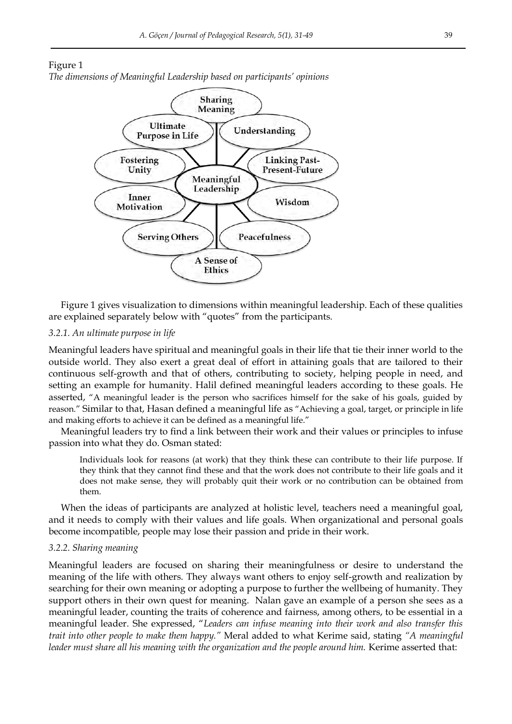





Figure 1 gives visualization to dimensions within meaningful leadership. Each of these qualities are explained separately below with "quotes" from the participants.

## *3.2.1. An ultimate purpose in life*

Meaningful leaders have spiritual and meaningful goals in their life that tie their inner world to the outside world. They also exert a great deal of effort in attaining goals that are tailored to their continuous self-growth and that of others, contributing to society, helping people in need, and setting an example for humanity. Halil defined meaningful leaders according to these goals. He asserted, "A meaningful leader is the person who sacrifices himself for the sake of his goals, guided by reason." Similar to that, Hasan defined a meaningful life as "Achieving a goal, target, or principle in life and making efforts to achieve it can be defined as a meaningful life."

Meaningful leaders try to find a link between their work and their values or principles to infuse passion into what they do. Osman stated:

Individuals look for reasons (at work) that they think these can contribute to their life purpose. If they think that they cannot find these and that the work does not contribute to their life goals and it does not make sense, they will probably quit their work or no contribution can be obtained from them.

When the ideas of participants are analyzed at holistic level, teachers need a meaningful goal, and it needs to comply with their values and life goals. When organizational and personal goals become incompatible, people may lose their passion and pride in their work.

## *3.2.2. Sharing meaning*

Meaningful leaders are focused on sharing their meaningfulness or desire to understand the meaning of the life with others. They always want others to enjoy self-growth and realization by searching for their own meaning or adopting a purpose to further the wellbeing of humanity. They support others in their own quest for meaning. Nalan gave an example of a person she sees as a meaningful leader, counting the traits of coherence and fairness, among others, to be essential in a meaningful leader. She expressed, "*Leaders can infuse meaning into their work and also transfer this trait into other people to make them happy."* Meral added to what Kerime said, stating *"A meaningful*  leader must share all his meaning with the organization and the people around him. Kerime asserted that: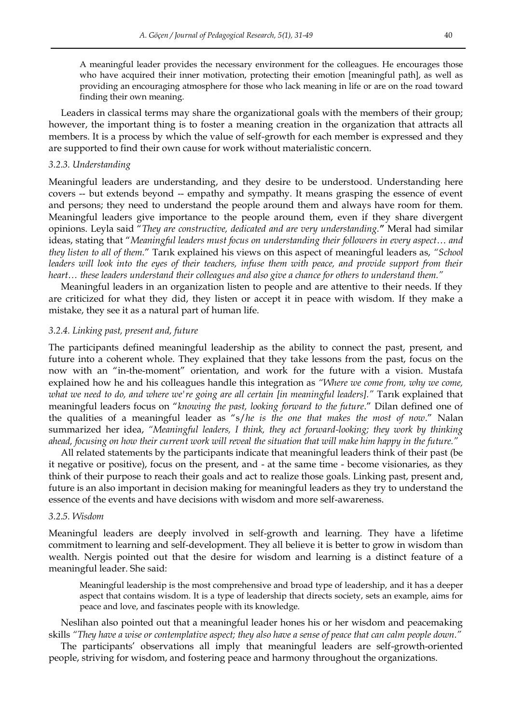A meaningful leader provides the necessary environment for the colleagues. He encourages those who have acquired their inner motivation, protecting their emotion [meaningful path], as well as providing an encouraging atmosphere for those who lack meaning in life or are on the road toward finding their own meaning.

Leaders in classical terms may share the organizational goals with the members of their group; however, the important thing is to foster a meaning creation in the organization that attracts all members. It is a process by which the value of self-growth for each member is expressed and they are supported to find their own cause for work without materialistic concern.

## *3.2.3. Understanding*

Meaningful leaders are understanding, and they desire to be understood. Understanding here covers -- but extends beyond -- empathy and sympathy. It means grasping the essence of event and persons; they need to understand the people around them and always have room for them. Meaningful leaders give importance to the people around them, even if they share divergent opinions. Leyla said "*They are constructive, dedicated and are very understanding.***"** Meral had similar ideas, stating that "*Meaningful leaders must focus on understanding their followers in every aspect*… *and they listen to all of them.*" Tarık explained his views on this aspect of meaningful leaders as, *"School leaders will look into the eyes of their teachers, infuse them with peace, and provide support from their heart… these leaders understand their colleagues and also give a chance for others to understand them."*

Meaningful leaders in an organization listen to people and are attentive to their needs. If they are criticized for what they did, they listen or accept it in peace with wisdom. If they make a mistake, they see it as a natural part of human life.

#### *3.2.4. Linking past, present and, future*

The participants defined meaningful leadership as the ability to connect the past, present, and future into a coherent whole. They explained that they take lessons from the past, focus on the now with an "in-the-moment" orientation, and work for the future with a vision. Mustafa explained how he and his colleagues handle this integration as *"Where we come from, why we come, what we need to do, and where we're going are all certain [in meaningful leaders]."* Tarık explained that meaningful leaders focus on "*knowing the past, looking forward to the future*." Dilan defined one of the qualities of a meaningful leader as "s/*he is the one that makes the most of now*." Nalan summarized her idea, *"Meaningful leaders, I think, they act forward-looking; they work by thinking ahead, focusing on how their current work will reveal the situation that will make him happy in the future."* 

All related statements by the participants indicate that meaningful leaders think of their past (be it negative or positive), focus on the present, and - at the same time - become visionaries, as they think of their purpose to reach their goals and act to realize those goals. Linking past, present and, future is an also important in decision making for meaningful leaders as they try to understand the essence of the events and have decisions with wisdom and more self-awareness.

#### *3.2.5. Wisdom*

Meaningful leaders are deeply involved in self-growth and learning. They have a lifetime commitment to learning and self-development. They all believe it is better to grow in wisdom than wealth. Nergis pointed out that the desire for wisdom and learning is a distinct feature of a meaningful leader. She said:

Meaningful leadership is the most comprehensive and broad type of leadership, and it has a deeper aspect that contains wisdom. It is a type of leadership that directs society, sets an example, aims for peace and love, and fascinates people with its knowledge.

Neslihan also pointed out that a meaningful leader hones his or her wisdom and peacemaking skills *"They have a wise or contemplative aspect; they also have a sense of peace that can calm people down."* 

The participants" observations all imply that meaningful leaders are self-growth-oriented people, striving for wisdom, and fostering peace and harmony throughout the organizations.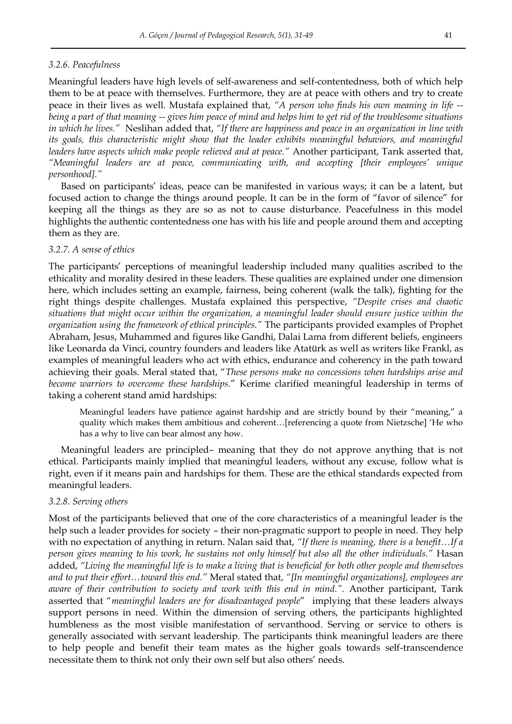#### *3.2.6. Peacefulness*

Meaningful leaders have high levels of self-awareness and self-contentedness, both of which help them to be at peace with themselves. Furthermore, they are at peace with others and try to create peace in their lives as well. Mustafa explained that, *"A person who finds his own meaning in life - being a part of that meaning -- gives him peace of mind and helps him to get rid of the troublesome situations in which he lives."* Neslihan added that, *"If there are happiness and peace in an organization in line with its goals, this characteristic might show that the leader exhibits meaningful behaviors, and meaningful leaders have aspects which make people relieved and at peace."* Another participant, Tarık asserted that, *"Meaningful leaders are at peace, communicating with, and accepting [their employees' unique personhood]."* 

Based on participants" ideas, peace can be manifested in various ways; it can be a latent, but focused action to change the things around people. It can be in the form of "favor of silence" for keeping all the things as they are so as not to cause disturbance. Peacefulness in this model highlights the authentic contentedness one has with his life and people around them and accepting them as they are.

#### *3.2.7. A sense of ethics*

The participants" perceptions of meaningful leadership included many qualities ascribed to the ethicality and morality desired in these leaders. These qualities are explained under one dimension here, which includes setting an example, fairness, being coherent (walk the talk), fighting for the right things despite challenges. Mustafa explained this perspective, *"Despite crises and chaotic situations that might occur within the organization, a meaningful leader should ensure justice within the organization using the framework of ethical principles."* The participants provided examples of Prophet Abraham, Jesus, Muhammed and figures like Gandhi, Dalai Lama from different beliefs, engineers like Leonarda da Vinci, country founders and leaders like Atatürk as well as writers like Frankl, as examples of meaningful leaders who act with ethics, endurance and coherency in the path toward achieving their goals. Meral stated that, "*These persons make no concessions when hardships arise and become warriors to overcome these hardships.*" Kerime clarified meaningful leadership in terms of taking a coherent stand amid hardships:

Meaningful leaders have patience against hardship and are strictly bound by their "meaning," a quality which makes them ambitious and coherent…[referencing a quote from Nietzsche] "He who has a why to live can bear almost any how.

Meaningful leaders are principled– meaning that they do not approve anything that is not ethical. Participants mainly implied that meaningful leaders, without any excuse, follow what is right, even if it means pain and hardships for them. These are the ethical standards expected from meaningful leaders.

#### *3.2.8. Serving others*

Most of the participants believed that one of the core characteristics of a meaningful leader is the help such a leader provides for society – their non-pragmatic support to people in need. They help with no expectation of anything in return. Nalan said that, *"If there is meaning, there is a benefit…If a person gives meaning to his work, he sustains not only himself but also all the other individuals."* Hasan added, *"Living the meaningful life is to make a living that is beneficial for both other people and themselves and to put their effort…toward this end."* Meral stated that, *"[In meaningful organizations], employees are aware of their contribution to society and work with this end in mind.".* Another participant, Tarık asserted that "*meaningful leaders are for disadvantaged people*" implying that these leaders always support persons in need. Within the dimension of serving others, the participants highlighted humbleness as the most visible manifestation of servanthood. Serving or service to others is generally associated with servant leadership. The participants think meaningful leaders are there to help people and benefit their team mates as the higher goals towards self-transcendence necessitate them to think not only their own self but also others' needs.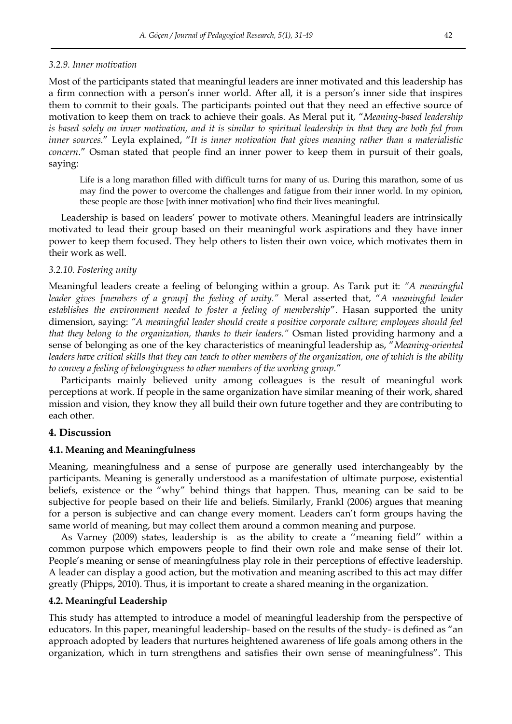#### *3.2.9. Inner motivation*

Most of the participants stated that meaningful leaders are inner motivated and this leadership has a firm connection with a person's inner world. After all, it is a person's inner side that inspires them to commit to their goals. The participants pointed out that they need an effective source of motivation to keep them on track to achieve their goals. As Meral put it, "*Meaning-based leadership is based solely on inner motivation, and it is similar to spiritual leadership in that they are both fed from inner sources.*" Leyla explained, "*It is inner motivation that gives meaning rather than a materialistic concern*." Osman stated that people find an inner power to keep them in pursuit of their goals, saying:

Life is a long marathon filled with difficult turns for many of us. During this marathon, some of us may find the power to overcome the challenges and fatigue from their inner world. In my opinion, these people are those [with inner motivation] who find their lives meaningful.

Leadership is based on leaders' power to motivate others. Meaningful leaders are intrinsically motivated to lead their group based on their meaningful work aspirations and they have inner power to keep them focused. They help others to listen their own voice, which motivates them in their work as well.

#### *3.2.10. Fostering unity*

Meaningful leaders create a feeling of belonging within a group. As Tarık put it: *"A meaningful leader gives [members of a group] the feeling of unity."* Meral asserted that, "*A meaningful leader establishes the environment needed to foster a feeling of membership*". Hasan supported the unity dimension, saying: *"A meaningful leader should create a positive corporate culture; employees should feel that they belong to the organization, thanks to their leaders."* Osman listed providing harmony and a sense of belonging as one of the key characteristics of meaningful leadership as, "*Meaning-oriented leaders have critical skills that they can teach to other members of the organization, one of which is the ability to convey a feeling of belongingness to other members of the working group.*"

Participants mainly believed unity among colleagues is the result of meaningful work perceptions at work. If people in the same organization have similar meaning of their work, shared mission and vision, they know they all build their own future together and they are contributing to each other.

## **4. Discussion**

#### **4.1. Meaning and Meaningfulness**

Meaning, meaningfulness and a sense of purpose are generally used interchangeably by the participants. Meaning is generally understood as a manifestation of ultimate purpose, existential beliefs, existence or the "why" behind things that happen. Thus, meaning can be said to be subjective for people based on their life and beliefs. Similarly, Frankl (2006) argues that meaning for a person is subjective and can change every moment. Leaders can"t form groups having the same world of meaning, but may collect them around a common meaning and purpose.

As Varney (2009) states, leadership is as the ability to create a ""meaning field"" within a common purpose which empowers people to find their own role and make sense of their lot. People"s meaning or sense of meaningfulness play role in their perceptions of effective leadership. A leader can display a good action, but the motivation and meaning ascribed to this act may differ greatly (Phipps, 2010). Thus, it is important to create a shared meaning in the organization.

## **4.2. Meaningful Leadership**

This study has attempted to introduce a model of meaningful leadership from the perspective of educators. In this paper, meaningful leadership- based on the results of the study- is defined as "an approach adopted by leaders that nurtures heightened awareness of life goals among others in the organization, which in turn strengthens and satisfies their own sense of meaningfulness". This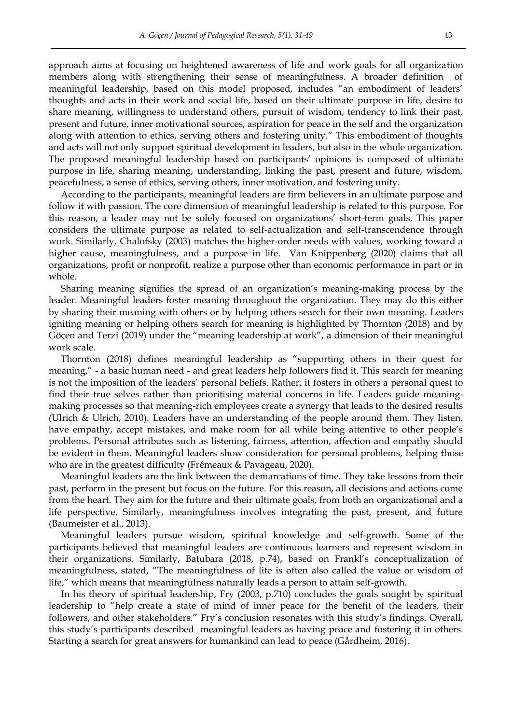approach aims at focusing on heightened awareness of life and work goals for all organization members along with strengthening their sense of meaningfulness. A broader definition of meaningful leadership, based on this model proposed, includes "an embodiment of leaders" thoughts and acts in their work and social life, based on their ultimate purpose in life, desire to share meaning, willingness to understand others, pursuit of wisdom, tendency to link their past, present and future, inner motivational sources, aspiration for peace in the self and the organization along with attention to ethics, serving others and fostering unity." This embodiment of thoughts and acts will not only support spiritual development in leaders, but also in the whole organization. The proposed meaningful leadership based on participants" opinions is composed of ultimate purpose in life, sharing meaning, understanding, linking the past, present and future, wisdom, peacefulness, a sense of ethics, serving others, inner motivation, and fostering unity.

According to the participants, meaningful leaders are firm believers in an ultimate purpose and follow it with passion. The core dimension of meaningful leadership is related to this purpose. For this reason, a leader may not be solely focused on organizations" short-term goals. This paper considers the ultimate purpose as related to self-actualization and self-transcendence through work. Similarly, Chalofsky (2003) matches the higher-order needs with values, working toward a higher cause, meaningfulness, and a purpose in life. Van Knippenberg (2020) claims that all organizations, profit or nonprofit, realize a purpose other than economic performance in part or in whole.

Sharing meaning signifies the spread of an organization"s meaning-making process by the leader. Meaningful leaders foster meaning throughout the organization. They may do this either by sharing their meaning with others or by helping others search for their own meaning. Leaders igniting meaning or helping others search for meaning is highlighted by Thornton (2018) and by Göçen and Terzi (2019) under the "meaning leadership at work", a dimension of their meaningful work scale.

Thornton (2018) defines meaningful leadership as "supporting others in their quest for meaning," - a basic human need - and great leaders help followers find it. This search for meaning is not the imposition of the leaders" personal beliefs. Rather, it fosters in others a personal quest to find their true selves rather than prioritising material concerns in life. Leaders guide meaningmaking processes so that meaning-rich employees create a synergy that leads to the desired results (Ulrich & Ulrich, 2010). Leaders have an understanding of the people around them. They listen, have empathy, accept mistakes, and make room for all while being attentive to other people's problems. Personal attributes such as listening, fairness, attention, affection and empathy should be evident in them. Meaningful leaders show consideration for personal problems, helping those who are in the greatest difficulty (Frémeaux & Pavageau, 2020).

Meaningful leaders are the link between the demarcations of time. They take lessons from their past, perform in the present but focus on the future. For this reason, all decisions and actions come from the heart. They aim for the future and their ultimate goals, from both an organizational and a life perspective. Similarly, meaningfulness involves integrating the past, present, and future (Baumeister et al., 2013).

Meaningful leaders pursue wisdom, spiritual knowledge and self-growth. Some of the participants believed that meaningful leaders are continuous learners and represent wisdom in their organizations. Similarly, Batubara (2018, p.74), based on Frankl"s conceptualization of meaningfulness, stated, "The meaningfulness of life is often also called the value or wisdom of life," which means that meaningfulness naturally leads a person to attain self-growth.

In his theory of spiritual leadership, Fry (2003, p.710) concludes the goals sought by spiritual leadership to "help create a state of mind of inner peace for the benefit of the leaders, their followers, and other stakeholders." Fry's conclusion resonates with this study's findings. Overall, this study"s participants described meaningful leaders as having peace and fostering it in others. Starting a search for great answers for humankind can lead to peace (Gårdheim, 2016).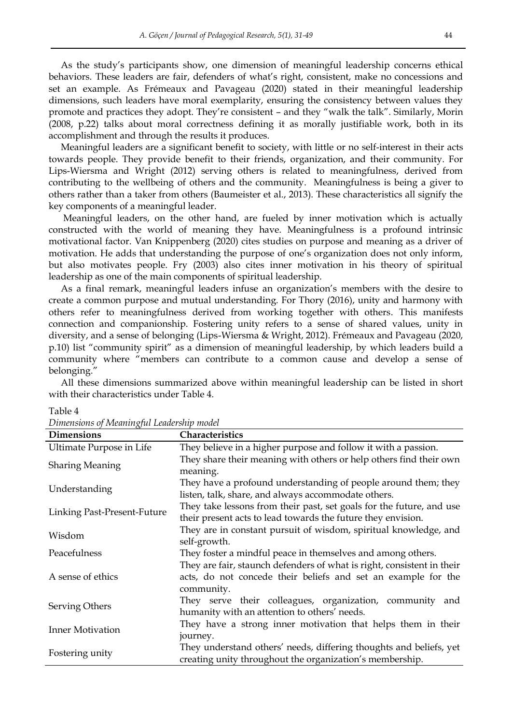As the study"s participants show, one dimension of meaningful leadership concerns ethical behaviors. These leaders are fair, defenders of what"s right, consistent, make no concessions and set an example. As Frémeaux and Pavageau (2020) stated in their meaningful leadership dimensions, such leaders have moral exemplarity, ensuring the consistency between values they promote and practices they adopt. They"re consistent – and they "walk the talk". Similarly, Morin (2008, p.22) talks about moral correctness defining it as morally justifiable work, both in its accomplishment and through the results it produces.

Meaningful leaders are a significant benefit to society, with little or no self-interest in their acts towards people. They provide benefit to their friends, organization, and their community. For Lips-Wiersma and Wright (2012) serving others is related to meaningfulness, derived from contributing to the wellbeing of others and the community. Meaningfulness is being a giver to others rather than a taker from others (Baumeister et al., 2013). These characteristics all signify the key components of a meaningful leader.

Meaningful leaders, on the other hand, are fueled by inner motivation which is actually constructed with the world of meaning they have. Meaningfulness is a profound intrinsic motivational factor. Van Knippenberg (2020) cites studies on purpose and meaning as a driver of motivation. He adds that understanding the purpose of one"s organization does not only inform, but also motivates people. Fry (2003) also cites inner motivation in his theory of spiritual leadership as one of the main components of spiritual leadership.

As a final remark, meaningful leaders infuse an organization"s members with the desire to create a common purpose and mutual understanding. For Thory (2016), unity and harmony with others refer to meaningfulness derived from working together with others. This manifests connection and companionship. Fostering unity refers to a sense of shared values, unity in diversity, and a sense of belonging (Lips-Wiersma & Wright, 2012). Frémeaux and Pavageau (2020, p.10) list "community spirit" as a dimension of meaningful leadership, by which leaders build a community where "members can contribute to a common cause and develop a sense of belonging."

All these dimensions summarized above within meaningful leadership can be listed in short with their characteristics under Table 4.

| <b>Dimensions</b>           | Characteristics                                                                                                                                       |
|-----------------------------|-------------------------------------------------------------------------------------------------------------------------------------------------------|
| Ultimate Purpose in Life    | They believe in a higher purpose and follow it with a passion.                                                                                        |
| <b>Sharing Meaning</b>      | They share their meaning with others or help others find their own<br>meaning.                                                                        |
| Understanding               | They have a profound understanding of people around them; they<br>listen, talk, share, and always accommodate others.                                 |
| Linking Past-Present-Future | They take lessons from their past, set goals for the future, and use<br>their present acts to lead towards the future they envision.                  |
| Wisdom                      | They are in constant pursuit of wisdom, spiritual knowledge, and<br>self-growth.                                                                      |
| Peacefulness                | They foster a mindful peace in themselves and among others.                                                                                           |
| A sense of ethics           | They are fair, staunch defenders of what is right, consistent in their<br>acts, do not concede their beliefs and set an example for the<br>community. |
| Serving Others              | They serve their colleagues, organization, community and<br>humanity with an attention to others' needs.                                              |
| <b>Inner Motivation</b>     | They have a strong inner motivation that helps them in their<br>journey.                                                                              |
| Fostering unity             | They understand others' needs, differing thoughts and beliefs, yet<br>creating unity throughout the organization's membership.                        |

Table 4

*Dimensions of Meaningful Leadership model*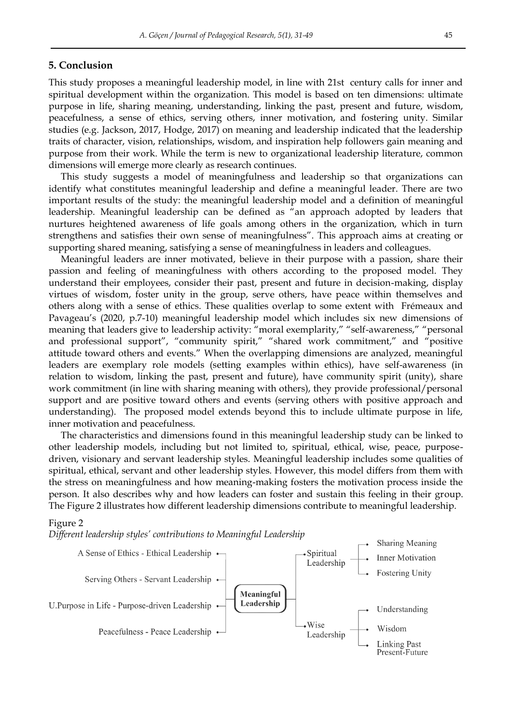## **5. Conclusion**

This study proposes a meaningful leadership model, in line with 21st century calls for inner and spiritual development within the organization. This model is based on ten dimensions: ultimate purpose in life, sharing meaning, understanding, linking the past, present and future, wisdom, peacefulness, a sense of ethics, serving others, inner motivation, and fostering unity. Similar studies (e.g. Jackson, 2017, Hodge, 2017) on meaning and leadership indicated that the leadership traits of character, vision, relationships, wisdom, and inspiration help followers gain meaning and purpose from their work. While the term is new to organizational leadership literature, common dimensions will emerge more clearly as research continues.

This study suggests a model of meaningfulness and leadership so that organizations can identify what constitutes meaningful leadership and define a meaningful leader. There are two important results of the study: the meaningful leadership model and a definition of meaningful leadership. Meaningful leadership can be defined as "an approach adopted by leaders that nurtures heightened awareness of life goals among others in the organization, which in turn strengthens and satisfies their own sense of meaningfulness". This approach aims at creating or supporting shared meaning, satisfying a sense of meaningfulness in leaders and colleagues.

Meaningful leaders are inner motivated, believe in their purpose with a passion, share their passion and feeling of meaningfulness with others according to the proposed model. They understand their employees, consider their past, present and future in decision-making, display virtues of wisdom, foster unity in the group, serve others, have peace within themselves and others along with a sense of ethics. These qualities overlap to some extent with Frémeaux and Pavageau"s (2020, p.7-10) meaningful leadership model which includes six new dimensions of meaning that leaders give to leadership activity: "moral exemplarity," "self-awareness," "personal and professional support", "community spirit," "shared work commitment," and "positive attitude toward others and events." When the overlapping dimensions are analyzed, meaningful leaders are exemplary role models (setting examples within ethics), have self-awareness (in relation to wisdom, linking the past, present and future), have community spirit (unity), share work commitment (in line with sharing meaning with others), they provide professional/personal support and are positive toward others and events (serving others with positive approach and understanding). The proposed model extends beyond this to include ultimate purpose in life, inner motivation and peacefulness.

The characteristics and dimensions found in this meaningful leadership study can be linked to other leadership models, including but not limited to, spiritual, ethical, wise, peace, purposedriven, visionary and servant leadership styles. Meaningful leadership includes some qualities of spiritual, ethical, servant and other leadership styles. However, this model differs from them with the stress on meaningfulness and how meaning-making fosters the motivation process inside the person. It also describes why and how leaders can foster and sustain this feeling in their group. The Figure 2 illustrates how different leadership dimensions contribute to meaningful leadership.

#### Figure 2

*Different leadership styles' contributions to Meaningful Leadership* 

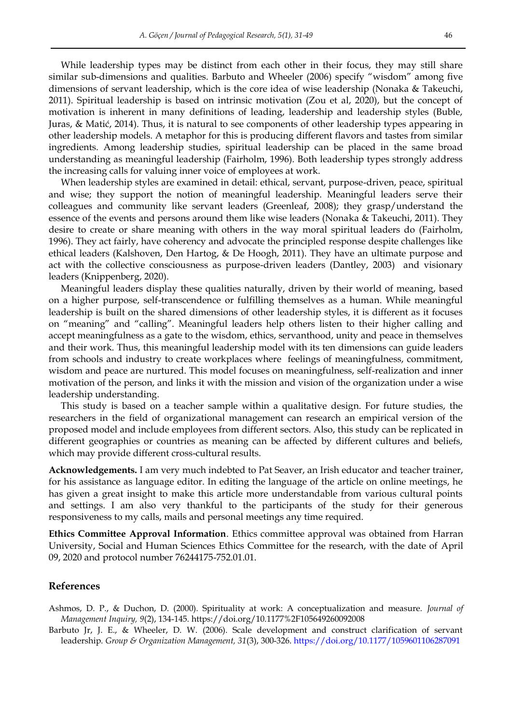While leadership types may be distinct from each other in their focus, they may still share similar sub-dimensions and qualities. Barbuto and Wheeler (2006) specify "wisdom" among five dimensions of servant leadership, which is the core idea of wise leadership (Nonaka & Takeuchi, 2011). Spiritual leadership is based on intrinsic motivation (Zou et al, 2020), but the concept of motivation is inherent in many definitions of leading, leadership and leadership styles (Buble, Juras, & Matić, 2014). Thus, it is natural to see components of other leadership types appearing in other leadership models. A metaphor for this is producing different flavors and tastes from similar ingredients. Among leadership studies, spiritual leadership can be placed in the same broad understanding as meaningful leadership (Fairholm, 1996). Both leadership types strongly address the increasing calls for valuing inner voice of employees at work.

When leadership styles are examined in detail: ethical, servant, purpose-driven, peace, spiritual and wise; they support the notion of meaningful leadership. Meaningful leaders serve their colleagues and community like servant leaders (Greenleaf, 2008); they grasp/understand the essence of the events and persons around them like wise leaders (Nonaka & Takeuchi, 2011). They desire to create or share meaning with others in the way moral spiritual leaders do (Fairholm, 1996). They act fairly, have coherency and advocate the principled response despite challenges like ethical leaders (Kalshoven, Den Hartog, & De Hoogh, 2011). They have an ultimate purpose and act with the collective consciousness as purpose-driven leaders (Dantley, 2003) and visionary leaders (Knippenberg, 2020).

Meaningful leaders display these qualities naturally, driven by their world of meaning, based on a higher purpose, self-transcendence or fulfilling themselves as a human. While meaningful leadership is built on the shared dimensions of other leadership styles, it is different as it focuses on "meaning" and "calling". Meaningful leaders help others listen to their higher calling and accept meaningfulness as a gate to the wisdom, ethics, servanthood, unity and peace in themselves and their work. Thus, this meaningful leadership model with its ten dimensions can guide leaders from schools and industry to create workplaces where feelings of meaningfulness, commitment, wisdom and peace are nurtured. This model focuses on meaningfulness, self-realization and inner motivation of the person, and links it with the mission and vision of the organization under a wise leadership understanding.

This study is based on a teacher sample within a qualitative design. For future studies, the researchers in the field of organizational management can research an empirical version of the proposed model and include employees from different sectors. Also, this study can be replicated in different geographies or countries as meaning can be affected by different cultures and beliefs, which may provide different cross-cultural results.

**Acknowledgements.** I am very much indebted to Pat Seaver, an Irish educator and teacher trainer, for his assistance as language editor. In editing the language of the article on online meetings, he has given a great insight to make this article more understandable from various cultural points and settings. I am also very thankful to the participants of the study for their generous responsiveness to my calls, mails and personal meetings any time required.

**Ethics Committee Approval Information**. Ethics committee approval was obtained from Harran University, Social and Human Sciences Ethics Committee for the research, with the date of April 09, 2020 and protocol number 76244175-752.01.01.

## **References**

Ashmos, D. P., & Duchon, D. (2000). Spirituality at work: A conceptualization and measure. *Journal of Management Inquiry, 9*(2), 134-145.<https://doi.org/10.1177%2F105649260092008>

Barbuto Jr, J. E., & Wheeler, D. W. (2006). Scale development and construct clarification of servant leadership. *Group & Organization Management, 31*(3), 300-326[. https://doi.org/10.1177/1059601106287091](https://doi.org/10.1177/1059601106287091)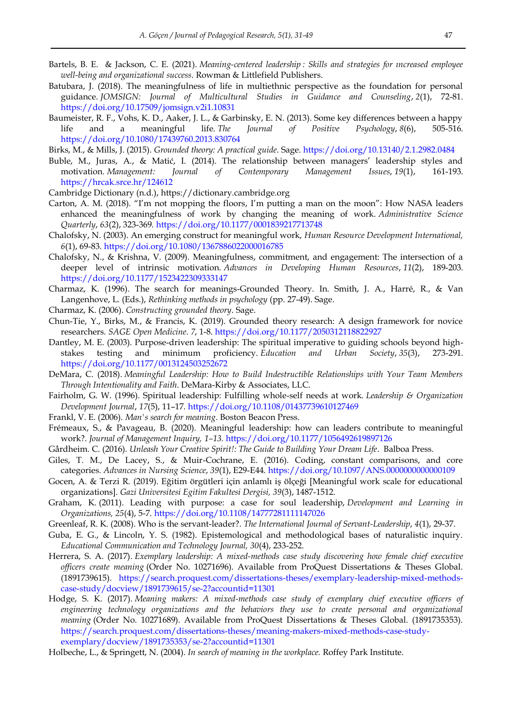- Bartels, B. E. & Jackson, C. E. (2021). *Meaning-centered leadership : Skills and strategies for ıncreased employee well-being and organizational success*. Rowman & Littlefield Publishers.
- Batubara, J. (2018). The meaningfulness of life in multiethnic perspective as the foundation for personal guidance. *JOMSIGN: Journal of Multicultural Studies in Guidance and Counseling*, *2*(1), 72-81. <https://doi.org/10.17509/jomsign.v2i1.10831>
- Baumeister, R. F., Vohs, K. D., Aaker, J. L., & Garbinsky, E. N. (2013). Some key differences between a happy life and a meaningful life. *The Journal of Positive Psychology*, *8*(6), 505-516. <https://doi.org/10.1080/17439760.2013.830764>

Birks, M., & Mills, J. (2015). *Grounded theory: A practical guide*. Sage[. https://doi.org/10.13140/2.1.2982.0484](https://doi.org/10.13140/2.1.2982.0484) 

- Buble, M., Juras, A., & Matić, I. (2014). The relationship between managers" leadership styles and motivation. *Management: Journal of Contemporary Management Issues*, *19*(1), 161-193. <https://hrcak.srce.hr/124612>
- Cambridge Dictionary (n.d.), [https://dictionary.cambridge.org](https://dictionary.cambridge.org/)
- Carton, A. M. (2018). "I"m not mopping the floors, I"m putting a man on the moon": How NASA leaders enhanced the meaningfulness of work by changing the meaning of work. *Administrative Science Quarterly*, *63*(2), 323-369.<https://doi.org/10.1177/0001839217713748>
- Chalofsky, N. (2003). An emerging construct for meaningful work, *Human Resource Development International, 6*(1), 69-83.<https://doi.org/10.1080/1367886022000016785>
- Chalofsky, N., & Krishna, V. (2009). Meaningfulness, commitment, and engagement: The intersection of a deeper level of intrinsic motivation. *Advances in Developing Human Resources*, *11*(2), 189-203. <https://doi.org/10.1177/1523422309333147>
- Charmaz, K. (1996). The search for meanings-Grounded Theory. In. Smith, J. A., Harré, R., & Van Langenhove, L. (Eds.), *Rethinking methods in psychology* (pp. 27-49). Sage.
- Charmaz, K. (2006). *Constructing grounded theory*. Sage.
- Chun-Tie, Y., Birks, M., & Francis, K. (2019). Grounded theory research: A design framework for novice researchers. *SAGE Open Medicine*. *7*, 1-8.<https://doi.org/10.1177/2050312118822927>
- Dantley, M. E. (2003). Purpose-driven leadership: The spiritual imperative to guiding schools beyond highstakes testing and minimum proficiency. *Education and Urban Society*, *35*(3), 273-291. <https://doi.org/10.1177/0013124503252672>
- DeMara, C. (2018). *Meaningful Leadership: How to Build Indestructible Relationships with Your Team Members Through Intentionality and Faith*. DeMara-Kirby & Associates, LLC.
- Fairholm, G. W. (1996). Spiritual leadership: Fulfilling whole‐self needs at work. *Leadership & Organization Development Journal*, *17*(5), 11–17.<https://doi.org/10.1108/01437739610127469>
- Frankl, V. E. (2006). *Man's search for meaning*. Boston Beacon Press.
- Frémeaux, S., & Pavageau, B. (2020). Meaningful leadership: how can leaders contribute to meaningful work?. *Journal of Management Inquiry, 1–13.* <https://doi.org/10.1177/1056492619897126>
- Gårdheim. C. (2016). *Unleash Your Creative Spirit!: The Guide to Building Your Dream Life*. Balboa Press.
- Giles, T. M., De Lacey, S., & Muir-Cochrane, E. (2016). Coding, constant comparisons, and core categories. *Advances in Nursing Science*, *39*(1), E29-E44[. https://doi.org/10.1097/ANS.0000000000000109](https://doi.org/10.1097/ANS.0000000000000109)
- Gocen, A. & Terzi R. (2019). Eğitim örgütleri için anlamlı iş ölçeği [Meaningful work scale for educational organizations]. *Gazi Universitesi Egitim Fakultesi Dergisi, 39*(3), 1487-1512.
- Graham, K. (2011). Leading with purpose: a case for soul leadership, *Development and Learning in Organizations, 25*(4), 5-7. <https://doi.org/10.1108/14777281111147026>
- Greenleaf, R. K. (2008). Who is the servant-leader?. *The International Journal of Servant-Leadership*, *4*(1), 29-37.
- Guba, E. G., & Lincoln, Y. S. (1982). Epistemological and methodological bases of naturalistic inquiry. *Educational Communication and Technology Journal, 30*(4), 233-252.
- Herrera, S. A. (2017). *Exemplary leadership: A mixed-methods case study discovering how female chief executive officers create meaning* (Order No. 10271696). Available from ProQuest Dissertations & Theses Global. (1891739615). [https://search.proquest.com/dissertations-theses/exemplary-leadership-mixed-methods](https://search.proquest.com/dissertations-theses/exemplary-leadership-mixed-methods-case-study/docview/1891739615/se-2?accountid=11301)[case-study/docview/1891739615/se-2?accountid=11301](https://search.proquest.com/dissertations-theses/exemplary-leadership-mixed-methods-case-study/docview/1891739615/se-2?accountid=11301)
- Hodge, S. K. (2017). *Meaning makers: A mixed-methods case study of exemplary chief executive officers of engineering technology organizations and the behaviors they use to create personal and organizational meaning* (Order No. 10271689). Available from ProQuest Dissertations & Theses Global. (1891735353). [https://search.proquest.com/dissertations-theses/meaning-makers-mixed-methods-case-study](https://search.proquest.com/dissertations-theses/meaning-makers-mixed-methods-case-study-exemplary/docview/1891735353/se-2?accountid=11301)[exemplary/docview/1891735353/se-2?accountid=11301](https://search.proquest.com/dissertations-theses/meaning-makers-mixed-methods-case-study-exemplary/docview/1891735353/se-2?accountid=11301)
- Holbeche, L., & Springett, N. (2004). *In search of meaning in the workplace.* Roffey Park Institute.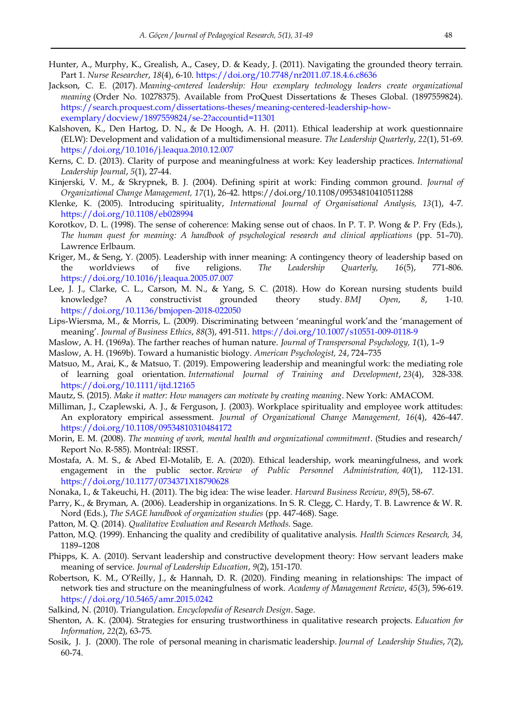- Hunter, A., Murphy, K., Grealish, A., Casey, D. & Keady, J. (2011). Navigating the grounded theory terrain. Part 1. *Nurse Researcher*, *18*(4), 6-10[. https://doi.org/10.7748/nr2011.07.18.4.6.c8636](https://doi.org/10.7748/nr2011.07.18.4.6.c8636)
- Jackson, C. E. (2017). *Meaning-centered leadership: How exemplary technology leaders create organizational meaning* (Order No. 10278375). Available from ProQuest Dissertations & Theses Global. (1897559824). [https://search.proquest.com/dissertations-theses/meaning-centered-leadership-how](https://search.proquest.com/dissertations-theses/meaning-centered-leadership-how-exemplary/docview/1897559824/se-2?accountid=11301)[exemplary/docview/1897559824/se-2?accountid=11301](https://search.proquest.com/dissertations-theses/meaning-centered-leadership-how-exemplary/docview/1897559824/se-2?accountid=11301)
- Kalshoven, K., Den Hartog, D. N., & De Hoogh, A. H. (2011). Ethical leadership at work questionnaire (ELW): Development and validation of a multidimensional measure. *The Leadership Quarterly*, *22*(1), 51-69. <https://doi.org/10.1016/j.leaqua.2010.12.007>
- Kerns, C. D. (2013). Clarity of purpose and meaningfulness at work: Key leadership practices. *International Leadership Journal*, *5*(1), 27-44.
- Kinjerski, V. M., & Skrypnek, B. J. (2004). Defining spirit at work: Finding common ground. *Journal of Organizational Change Management, 17*(1), 26-42.<https://doi.org/10.1108/09534810410511288>
- Klenke, K. (2005). Introducing spirituality, *International Journal of Organisational Analysis, 13*(1), 4-7. <https://doi.org/10.1108/eb028994>
- Korotkov, D. L. (1998). The sense of coherence: Making sense out of chaos. In P. T. P. Wong & P. Fry (Eds.), *The human quest for meaning: A handbook of psychological research and clinical applications* (pp. 51–70). Lawrence Erlbaum.
- Kriger, M., & Seng, Y. (2005). Leadership with inner meaning: A contingency theory of leadership based on the worldviews of five religions. *The Leadership Quarterly, 16*(5), 771-806. <https://doi.org/10.1016/j.leaqua.2005.07.007>
- Lee, J. J., Clarke, C. L., Carson, M. N., & Yang, S. C. (2018). How do Korean nursing students build knowledge? A constructivist grounded theory study. *BMJ Open*, *8*, 1-10. <https://doi.org/10.1136/bmjopen-2018-022050>
- Lips-Wiersma, M., & Morris, L. (2009). Discriminating between "meaningful work"and the "management of meaning". *Journal of Business Ethics*, *88*(3), 491-511.<https://doi.org/10.1007/s10551-009-0118-9>
- Maslow, A. H. (1969a). The farther reaches of human nature. *Journal of Transpersonal Psychology, 1*(1), 1–9
- Maslow, A. H. (1969b). Toward a humanistic biology*. American Psychologist, 24*, 724–735
- Matsuo, M., Arai, K., & Matsuo, T. (2019). Empowering leadership and meaningful work: the mediating role of learning goal orientation. *International Journal of Training and Development*, *23*(4), 328-338. <https://doi.org/10.1111/ijtd.12165>
- Mautz, S. (2015). *Make it matter: How managers can motivate by creating meaning*. New York: AMACOM.
- Milliman, J., Czaplewski, A. J., & Ferguson, J. (2003). Workplace spirituality and employee work attitudes: An exploratory empirical assessment. *Journal of Organizational Change Management, 16*(4), 426-447. <https://doi.org/10.1108/09534810310484172>
- Morin, E. M. (2008). *The meaning of work, mental health and organizational commitment*. (Studies and research/ Report No. R-585). Montréal: IRSST.
- Mostafa, A. M. S., & Abed El-Motalib, E. A. (2020). Ethical leadership, work meaningfulness, and work engagement in the public sector. *Review of Public Personnel Administration, 40*(1), 112-131. <https://doi.org/10.1177/0734371X18790628>
- Nonaka, I., & Takeuchi, H. (2011). The big idea: The wise leader. *Harvard Business Review*, *89*(5), 58-67.
- Parry, K., & Bryman, A. (2006). Leadership in organizations. In S. R. Clegg, C. Hardy, T. B. Lawrence & W. R. Nord (Eds.), *The SAGE handbook of organization studies* (pp. 447-468). Sage.
- Patton, M. Q. (2014). *Qualitative Evaluation and Research Methods.* Sage.
- Patton, M.Q. (1999). Enhancing the quality and credibility of qualitative analysis. *Health Sciences Research, 34,*  1189–1208
- Phipps, K. A. (2010). Servant leadership and constructive development theory: How servant leaders make meaning of service. *Journal of Leadership Education*, *9*(2), 151-170.
- Robertson, K. M., O"Reilly, J., & Hannah, D. R. (2020). Finding meaning in relationships: The impact of network ties and structure on the meaningfulness of work. *Academy of Management Review*, *45*(3), 596-619. <https://doi.org/10.5465/amr.2015.0242>
- Salkind, N. (2010). Triangulation. *Encyclopedia of Research Design*. Sage.
- Shenton, A. K. (2004). Strategies for ensuring trustworthiness in qualitative research projects. *Education for Information*, *22*(2), 63-75.
- Sosik, J. J. (2000). The role of personal meaning in charismatic leadership. *Journal of Leadership Studies*, *7*(2), 60-74.